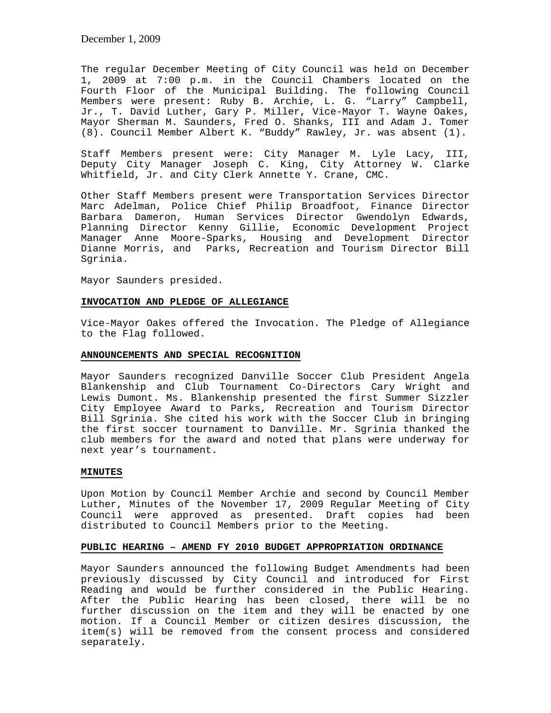December 1, 2009

The regular December Meeting of City Council was held on December 1, 2009 at 7:00 p.m. in the Council Chambers located on the Fourth Floor of the Municipal Building. The following Council Members were present: Ruby B. Archie, L. G. "Larry" Campbell, Jr., T. David Luther, Gary P. Miller, Vice-Mayor T. Wayne Oakes, Mayor Sherman M. Saunders, Fred O. Shanks, III and Adam J. Tomer (8). Council Member Albert K. "Buddy" Rawley, Jr. was absent (1).

Staff Members present were: City Manager M. Lyle Lacy, III, Deputy City Manager Joseph C. King, City Attorney W. Clarke Whitfield, Jr. and City Clerk Annette Y. Crane, CMC.

Other Staff Members present were Transportation Services Director Marc Adelman, Police Chief Philip Broadfoot, Finance Director Barbara Dameron, Human Services Director Gwendolyn Edwards, Planning Director Kenny Gillie, Economic Development Project Manager Anne Moore-Sparks, Housing and Development Director Dianne Morris, and Parks, Recreation and Tourism Director Bill Sgrinia.

Mayor Saunders presided.

### **INVOCATION AND PLEDGE OF ALLEGIANCE**

Vice-Mayor Oakes offered the Invocation. The Pledge of Allegiance to the Flag followed.

### **ANNOUNCEMENTS AND SPECIAL RECOGNITION**

Mayor Saunders recognized Danville Soccer Club President Angela Blankenship and Club Tournament Co-Directors Cary Wright and Lewis Dumont. Ms. Blankenship presented the first Summer Sizzler City Employee Award to Parks, Recreation and Tourism Director Bill Sgrinia. She cited his work with the Soccer Club in bringing the first soccer tournament to Danville. Mr. Sgrinia thanked the club members for the award and noted that plans were underway for next year's tournament.

#### **MINUTES**

Upon Motion by Council Member Archie and second by Council Member Luther, Minutes of the November 17, 2009 Regular Meeting of City Council were approved as presented. Draft copies had been distributed to Council Members prior to the Meeting.

## **PUBLIC HEARING – AMEND FY 2010 BUDGET APPROPRIATION ORDINANCE**

Mayor Saunders announced the following Budget Amendments had been previously discussed by City Council and introduced for First Reading and would be further considered in the Public Hearing. After the Public Hearing has been closed, there will be no further discussion on the item and they will be enacted by one motion. If a Council Member or citizen desires discussion, the item(s) will be removed from the consent process and considered separately.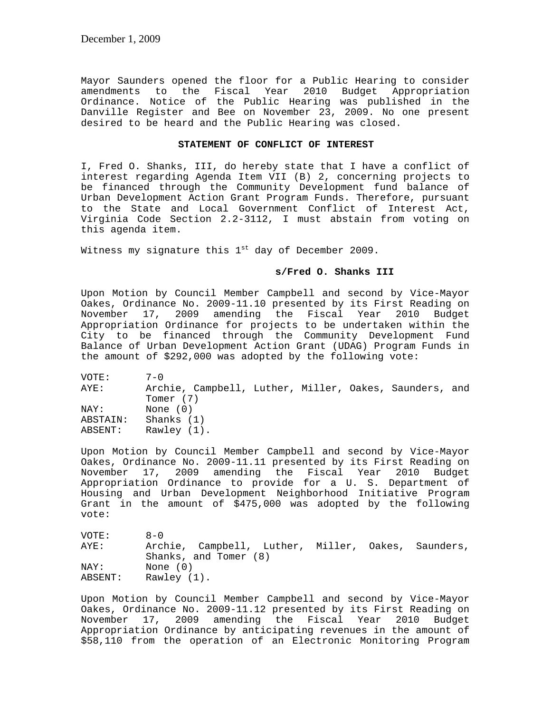Mayor Saunders opened the floor for a Public Hearing to consider<br>amendments to the Fiscal Year 2010 Budget Appropriation amendments to the Fiscal Ordinance. Notice of the Public Hearing was published in the Danville Register and Bee on November 23, 2009. No one present desired to be heard and the Public Hearing was closed.

## **STATEMENT OF CONFLICT OF INTEREST**

I, Fred O. Shanks, III, do hereby state that I have a conflict of interest regarding Agenda Item VII (B) 2, concerning projects to be financed through the Community Development fund balance of Urban Development Action Grant Program Funds. Therefore, pursuant to the State and Local Government Conflict of Interest Act, Virginia Code Section 2.2-3112, I must abstain from voting on this agenda item.

Witness my signature this  $1<sup>st</sup>$  day of December 2009.

## **s/Fred O. Shanks III**

Upon Motion by Council Member Campbell and second by Vice-Mayor Oakes, Ordinance No. 2009-11.10 presented by its First Reading on November 17, 2009 amending the Fiscal Year 2010 Budget Appropriation Ordinance for projects to be undertaken within the City to be financed through the Community Development Fund Balance of Urban Development Action Grant (UDAG) Program Funds in the amount of \$292,000 was adopted by the following vote:

| VOTE:    | $7 - 0$                                                |  |  |  |
|----------|--------------------------------------------------------|--|--|--|
| AYE:     | Archie, Campbell, Luther, Miller, Oakes, Saunders, and |  |  |  |
|          | Tomer (7)                                              |  |  |  |
| NAY:     | None $(0)$                                             |  |  |  |
| ABSTAIN: | Shanks $(1)$                                           |  |  |  |
| ABSENT:  | Rawley (1).                                            |  |  |  |

Upon Motion by Council Member Campbell and second by Vice-Mayor Oakes, Ordinance No. 2009-11.11 presented by its First Reading on November 17, 2009 amending the Fiscal Year 2010 Budget Appropriation Ordinance to provide for a U. S. Department of Housing and Urban Development Neighborhood Initiative Program Grant in the amount of \$475,000 was adopted by the following vote:

| VOTE:   | $R - N$                                            |
|---------|----------------------------------------------------|
| AYE:    | Archie, Campbell, Luther, Miller, Oakes, Saunders, |
|         | Shanks, and Tomer (8)                              |
| NAY:    | None (0)                                           |
| ABSENT: | Rawley (1).                                        |

Upon Motion by Council Member Campbell and second by Vice-Mayor Oakes, Ordinance No. 2009-11.12 presented by its First Reading on November 17, 2009 amending the Fiscal Year 2010 Budget Appropriation Ordinance by anticipating revenues in the amount of \$58,110 from the operation of an Electronic Monitoring Program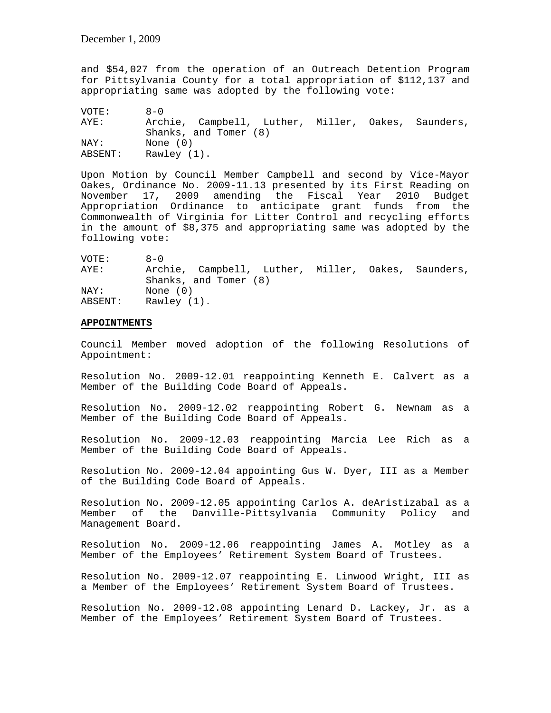and \$54,027 from the operation of an Outreach Detention Program for Pittsylvania County for a total appropriation of \$112,137 and appropriating same was adopted by the following vote:

VOTE: 8-0 AYE: Archie, Campbell, Luther, Miller, Oakes, Saunders, Shanks, and Tomer (8) NAY: None (0)<br>ABSENT: Rawley (1) Rawley (1).

Upon Motion by Council Member Campbell and second by Vice-Mayor Oakes, Ordinance No. 2009-11.13 presented by its First Reading on November 17, 2009 amending the Fiscal Year 2010 Budget Appropriation Ordinance to anticipate grant funds from the Commonwealth of Virginia for Litter Control and recycling efforts in the amount of \$8,375 and appropriating same was adopted by the following vote:

VOTE: 8-0 AYE: Archie, Campbell, Luther, Miller, Oakes, Saunders, Shanks, and Tomer (8) NAY: None (0) ABSENT: Rawley (1).

### **APPOINTMENTS**

Council Member moved adoption of the following Resolutions of Appointment:

Resolution No. 2009-12.01 reappointing Kenneth E. Calvert as a Member of the Building Code Board of Appeals.

Resolution No. 2009-12.02 reappointing Robert G. Newnam as a Member of the Building Code Board of Appeals.

Resolution No. 2009-12.03 reappointing Marcia Lee Rich as a Member of the Building Code Board of Appeals.

Resolution No. 2009-12.04 appointing Gus W. Dyer, III as a Member of the Building Code Board of Appeals.

Resolution No. 2009-12.05 appointing Carlos A. deAristizabal as a Member of the Danville-Pittsylvania Community Policy and Management Board.

Resolution No. 2009-12.06 reappointing James A. Motley as a Member of the Employees' Retirement System Board of Trustees.

Resolution No. 2009-12.07 reappointing E. Linwood Wright, III as a Member of the Employees' Retirement System Board of Trustees.

Resolution No. 2009-12.08 appointing Lenard D. Lackey, Jr. as a Member of the Employees' Retirement System Board of Trustees.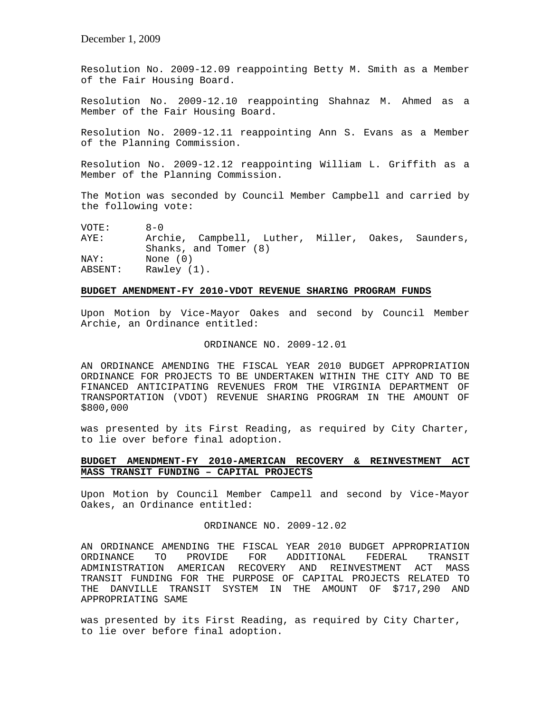December 1, 2009

Resolution No. 2009-12.09 reappointing Betty M. Smith as a Member of the Fair Housing Board.

Resolution No. 2009-12.10 reappointing Shahnaz M. Ahmed as a Member of the Fair Housing Board.

Resolution No. 2009-12.11 reappointing Ann S. Evans as a Member of the Planning Commission.

Resolution No. 2009-12.12 reappointing William L. Griffith as a Member of the Planning Commission.

The Motion was seconded by Council Member Campbell and carried by the following vote:

VOTE: 8-0 AYE: Archie, Campbell, Luther, Miller, Oakes, Saunders, Shanks, and Tomer (8) NAY: None (0) ABSENT: Rawley (1).

### **BUDGET AMENDMENT-FY 2010-VDOT REVENUE SHARING PROGRAM FUNDS**

Upon Motion by Vice-Mayor Oakes and second by Council Member Archie, an Ordinance entitled:

#### ORDINANCE NO. 2009-12.01

AN ORDINANCE AMENDING THE FISCAL YEAR 2010 BUDGET APPROPRIATION ORDINANCE FOR PROJECTS TO BE UNDERTAKEN WITHIN THE CITY AND TO BE FINANCED ANTICIPATING REVENUES FROM THE VIRGINIA DEPARTMENT OF TRANSPORTATION (VDOT) REVENUE SHARING PROGRAM IN THE AMOUNT OF \$800,000

was presented by its First Reading, as required by City Charter, to lie over before final adoption.

# **BUDGET AMENDMENT-FY 2010-AMERICAN RECOVERY & REINVESTMENT ACT MASS TRANSIT FUNDING – CAPITAL PROJECTS**

Upon Motion by Council Member Campell and second by Vice-Mayor Oakes, an Ordinance entitled:

## ORDINANCE NO. 2009-12.02

AN ORDINANCE AMENDING THE FISCAL YEAR 2010 BUDGET APPROPRIATION ORDINANCE TO PROVIDE FOR ADDITIONAL FEDERAL TRANSIT ADMINISTRATION AMERICAN RECOVERY AND REINVESTMENT ACT MASS TRANSIT FUNDING FOR THE PURPOSE OF CAPITAL PROJECTS RELATED TO THE DANVILLE TRANSIT SYSTEM IN THE AMOUNT OF \$717,290 AND APPROPRIATING SAME

was presented by its First Reading, as required by City Charter, to lie over before final adoption.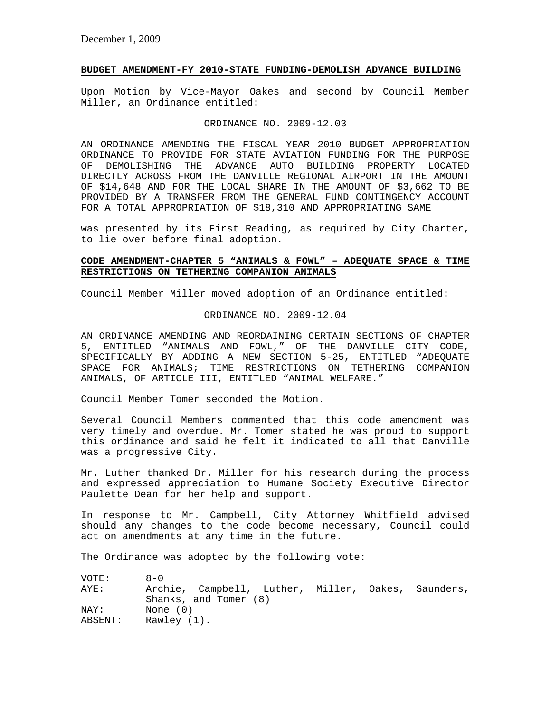## **BUDGET AMENDMENT-FY 2010-STATE FUNDING-DEMOLISH ADVANCE BUILDING**

Upon Motion by Vice-Mayor Oakes and second by Council Member Miller, an Ordinance entitled:

# ORDINANCE NO. 2009-12.03

AN ORDINANCE AMENDING THE FISCAL YEAR 2010 BUDGET APPROPRIATION ORDINANCE TO PROVIDE FOR STATE AVIATION FUNDING FOR THE PURPOSE OF DEMOLISHING THE ADVANCE AUTO BUILDING PROPERTY LOCATED DIRECTLY ACROSS FROM THE DANVILLE REGIONAL AIRPORT IN THE AMOUNT OF \$14,648 AND FOR THE LOCAL SHARE IN THE AMOUNT OF \$3,662 TO BE PROVIDED BY A TRANSFER FROM THE GENERAL FUND CONTINGENCY ACCOUNT FOR A TOTAL APPROPRIATION OF \$18,310 AND APPROPRIATING SAME

was presented by its First Reading, as required by City Charter, to lie over before final adoption.

# **CODE AMENDMENT-CHAPTER 5 "ANIMALS & FOWL" – ADEQUATE SPACE & TIME RESTRICTIONS ON TETHERING COMPANION ANIMALS**

Council Member Miller moved adoption of an Ordinance entitled:

ORDINANCE NO. 2009-12.04

AN ORDINANCE AMENDING AND REORDAINING CERTAIN SECTIONS OF CHAPTER 5, ENTITLED "ANIMALS AND FOWL," OF THE DANVILLE CITY CODE, SPECIFICALLY BY ADDING A NEW SECTION 5-25, ENTITLED "ADEQUATE SPACE FOR ANIMALS; TIME RESTRICTIONS ON TETHERING COMPANION ANIMALS, OF ARTICLE III, ENTITLED "ANIMAL WELFARE."

Council Member Tomer seconded the Motion.

Several Council Members commented that this code amendment was very timely and overdue. Mr. Tomer stated he was proud to support this ordinance and said he felt it indicated to all that Danville was a progressive City.

Mr. Luther thanked Dr. Miller for his research during the process and expressed appreciation to Humane Society Executive Director Paulette Dean for her help and support.

In response to Mr. Campbell, City Attorney Whitfield advised should any changes to the code become necessary, Council could act on amendments at any time in the future.

The Ordinance was adopted by the following vote:

| VOTE:           | $A - 0$                                                                     |
|-----------------|-----------------------------------------------------------------------------|
| AYE:            | Archie, Campbell, Luther, Miller, Oakes, Saunders,<br>Shanks, and Tomer (8) |
| NAY:<br>ABSENT: | None (0)<br>Rawley (1).                                                     |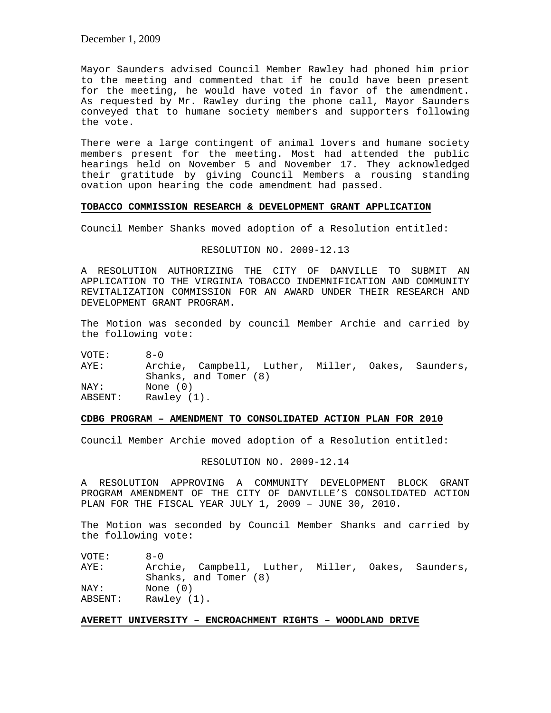Mayor Saunders advised Council Member Rawley had phoned him prior to the meeting and commented that if he could have been present for the meeting, he would have voted in favor of the amendment. As requested by Mr. Rawley during the phone call, Mayor Saunders conveyed that to humane society members and supporters following the vote.

There were a large contingent of animal lovers and humane society members present for the meeting. Most had attended the public hearings held on November 5 and November 17. They acknowledged their gratitude by giving Council Members a rousing standing ovation upon hearing the code amendment had passed.

## **TOBACCO COMMISSION RESEARCH & DEVELOPMENT GRANT APPLICATION**

Council Member Shanks moved adoption of a Resolution entitled:

## RESOLUTION NO. 2009-12.13

A RESOLUTION AUTHORIZING THE CITY OF DANVILLE TO SUBMIT AN APPLICATION TO THE VIRGINIA TOBACCO INDEMNIFICATION AND COMMUNITY REVITALIZATION COMMISSION FOR AN AWARD UNDER THEIR RESEARCH AND DEVELOPMENT GRANT PROGRAM.

The Motion was seconded by council Member Archie and carried by the following vote:

VOTE: 8-0 AYE: Archie, Campbell, Luther, Miller, Oakes, Saunders, Shanks, and Tomer (8) NAY: None (0) ABSENT: Rawley (1).

### **CDBG PROGRAM – AMENDMENT TO CONSOLIDATED ACTION PLAN FOR 2010**

Council Member Archie moved adoption of a Resolution entitled:

### RESOLUTION NO. 2009-12.14

A RESOLUTION APPROVING A COMMUNITY DEVELOPMENT BLOCK GRANT PROGRAM AMENDMENT OF THE CITY OF DANVILLE'S CONSOLIDATED ACTION PLAN FOR THE FISCAL YEAR JULY 1, 2009 – JUNE 30, 2010.

The Motion was seconded by Council Member Shanks and carried by the following vote:

 $VOTF: 8-0$ AYE: Archie, Campbell, Luther, Miller, Oakes, Saunders, Shanks, and Tomer (8) NAY: None (0)<br>ABSENT: Rawley (1) Rawley (1).

## **AVERETT UNIVERSITY – ENCROACHMENT RIGHTS – WOODLAND DRIVE**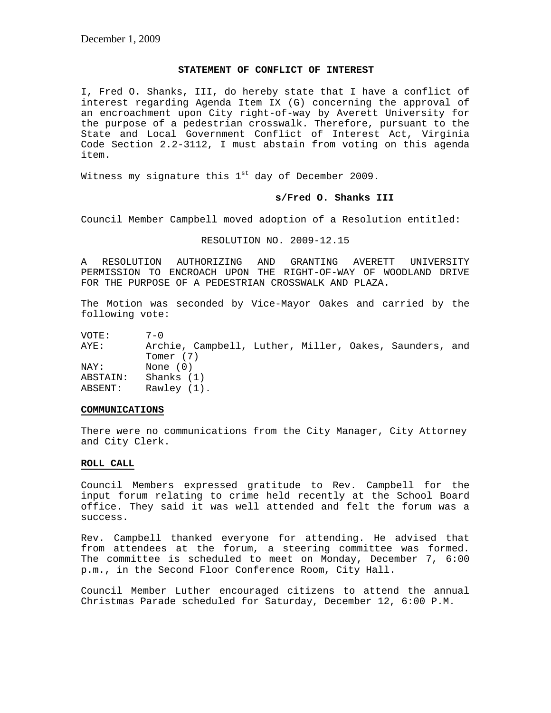## **STATEMENT OF CONFLICT OF INTEREST**

I, Fred O. Shanks, III, do hereby state that I have a conflict of interest regarding Agenda Item IX (G) concerning the approval of an encroachment upon City right-of-way by Averett University for the purpose of a pedestrian crosswalk. Therefore, pursuant to the State and Local Government Conflict of Interest Act, Virginia Code Section 2.2-3112, I must abstain from voting on this agenda item.

Witness my signature this  $1<sup>st</sup>$  day of December 2009.

### **s/Fred O. Shanks III**

Council Member Campbell moved adoption of a Resolution entitled:

### RESOLUTION NO. 2009-12.15

A RESOLUTION AUTHORIZING AND GRANTING AVERETT UNIVERSITY PERMISSION TO ENCROACH UPON THE RIGHT-OF-WAY OF WOODLAND DRIVE FOR THE PURPOSE OF A PEDESTRIAN CROSSWALK AND PLAZA.

The Motion was seconded by Vice-Mayor Oakes and carried by the following vote:

VOTE: 7-0<br>AYE: Arcl Archie, Campbell, Luther, Miller, Oakes, Saunders, and Tomer (7) NAY: None (0) ABSTAIN: Shanks (1) ABSENT: Rawley (1).

#### **COMMUNICATIONS**

There were no communications from the City Manager, City Attorney and City Clerk.

### **ROLL CALL**

Council Members expressed gratitude to Rev. Campbell for the input forum relating to crime held recently at the School Board office. They said it was well attended and felt the forum was a success.

Rev. Campbell thanked everyone for attending. He advised that from attendees at the forum, a steering committee was formed. The committee is scheduled to meet on Monday, December 7, 6:00 p.m., in the Second Floor Conference Room, City Hall.

Council Member Luther encouraged citizens to attend the annual Christmas Parade scheduled for Saturday, December 12, 6:00 P.M.